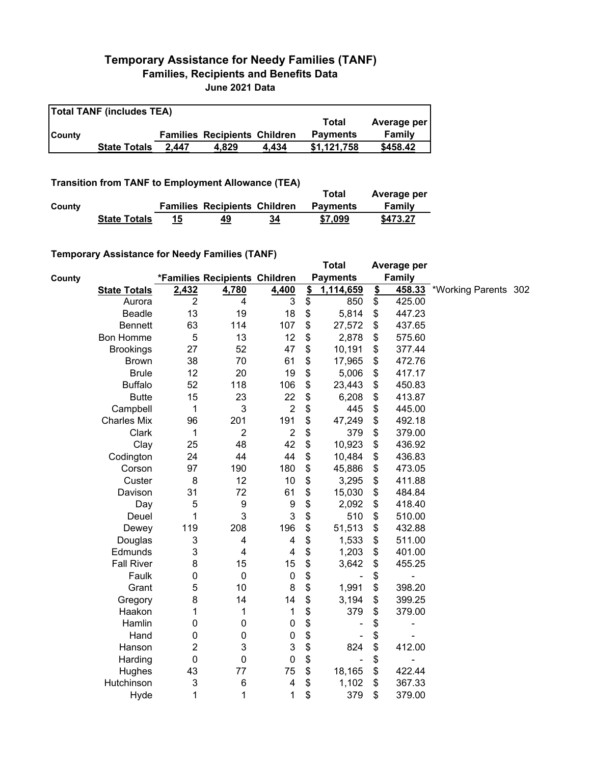## **Temporary Assistance for Needy Families (TANF) Families, Recipients and Benefits Data June 2021 Data**

| <b>Total TANF (includes TEA)</b> |                     |       |                                     |       |                 |             |  |  |
|----------------------------------|---------------------|-------|-------------------------------------|-------|-----------------|-------------|--|--|
|                                  |                     |       |                                     |       | Total           | Average per |  |  |
| <b>County</b>                    |                     |       | <b>Families Recipients Children</b> |       | <b>Payments</b> | Family      |  |  |
|                                  | <b>State Totals</b> | 2.447 | 4.829                               | 4.434 | \$1.121.758     | \$458.42    |  |  |

## **Transition from TANF to Employment Allowance (TEA)**

|        | <b>ITAIISIUVII ITVIII TAIVE LU EIIIPIVYIIIEIIL AIIUWAIICE (TEA)</b> |    |                                     |    | Total           | Average per |  |  |
|--------|---------------------------------------------------------------------|----|-------------------------------------|----|-----------------|-------------|--|--|
| County |                                                                     |    | <b>Families Recipients Children</b> |    | <b>Pavments</b> | Family      |  |  |
|        | <b>State Totals</b>                                                 | 15 | 49                                  | 34 | \$7,099         | \$473.27    |  |  |

## **Temporary Assistance for Needy Families (TANF)**

|        | $\frac{1}{2}$ componently resolved to the recent resolution of $\frac{1}{2}$ |                |                               |                |               | <b>Total</b>             |               | Average per   |                      |  |
|--------|------------------------------------------------------------------------------|----------------|-------------------------------|----------------|---------------|--------------------------|---------------|---------------|----------------------|--|
| County |                                                                              |                | *Families Recipients Children |                |               | <b>Payments</b>          |               | <b>Family</b> |                      |  |
|        | <b>State Totals</b>                                                          | 2,432          | 4,780                         | 4,400          | $\frac{2}{3}$ | 1,114,659                | $\frac{2}{2}$ | 458.33        | *Working Parents 302 |  |
|        | Aurora                                                                       | $\overline{2}$ | 4                             | 3              | \$            | 850                      | \$            | 425.00        |                      |  |
|        | <b>Beadle</b>                                                                | 13             | 19                            | 18             | \$            | 5,814                    | \$            | 447.23        |                      |  |
|        | <b>Bennett</b>                                                               | 63             | 114                           | 107            | \$            | 27,572                   | \$            | 437.65        |                      |  |
|        | <b>Bon Homme</b>                                                             | $\mathbf 5$    | 13                            | 12             | \$            | 2,878                    | \$            | 575.60        |                      |  |
|        | <b>Brookings</b>                                                             | 27             | 52                            | 47             | \$            | 10,191                   | \$            | 377.44        |                      |  |
|        | <b>Brown</b>                                                                 | 38             | 70                            | 61             | \$            | 17,965                   | \$            | 472.76        |                      |  |
|        | <b>Brule</b>                                                                 | 12             | 20                            | 19             | \$            | 5,006                    | \$            | 417.17        |                      |  |
|        | <b>Buffalo</b>                                                               | 52             | 118                           | 106            | \$            | 23,443                   | \$            | 450.83        |                      |  |
|        | <b>Butte</b>                                                                 | 15             | 23                            | 22             | \$            | 6,208                    | \$            | 413.87        |                      |  |
|        | Campbell                                                                     | 1              | 3                             | $\sqrt{2}$     | \$            | 445                      | \$            | 445.00        |                      |  |
|        | <b>Charles Mix</b>                                                           | 96             | 201                           | 191            | \$            | 47,249                   | \$            | 492.18        |                      |  |
|        | Clark                                                                        | 1              | $\overline{2}$                | $\overline{2}$ | \$            | 379                      | \$            | 379.00        |                      |  |
|        | Clay                                                                         | 25             | 48                            | 42             | \$            | 10,923                   | \$            | 436.92        |                      |  |
|        | Codington                                                                    | 24             | 44                            | 44             | \$            | 10,484                   | \$            | 436.83        |                      |  |
|        | Corson                                                                       | 97             | 190                           | 180            | \$            | 45,886                   | \$            | 473.05        |                      |  |
|        | Custer                                                                       | 8              | 12                            | 10             | \$            | 3,295                    | \$            | 411.88        |                      |  |
|        | Davison                                                                      | 31             | 72                            | 61             | \$            | 15,030                   | \$            | 484.84        |                      |  |
|        | Day                                                                          | 5              | 9                             | 9              | \$            | 2,092                    | \$            | 418.40        |                      |  |
|        | Deuel                                                                        | 1              | 3                             | 3              | \$            | 510                      | \$            | 510.00        |                      |  |
|        | Dewey                                                                        | 119            | 208                           | 196            | \$            | 51,513                   | \$            | 432.88        |                      |  |
|        | Douglas                                                                      | 3              | 4                             | 4              | \$            | 1,533                    | \$            | 511.00        |                      |  |
|        | Edmunds                                                                      | 3              | $\overline{\mathbf{4}}$       | 4              | \$            | 1,203                    | \$            | 401.00        |                      |  |
|        | <b>Fall River</b>                                                            | 8              | 15                            | 15             | \$            | 3,642                    | \$            | 455.25        |                      |  |
|        | Faulk                                                                        | 0              | $\mathbf 0$                   | $\pmb{0}$      | \$            |                          | \$            |               |                      |  |
|        | Grant                                                                        | 5              | 10                            | $\bf 8$        | \$            | 1,991                    | \$            | 398.20        |                      |  |
|        | Gregory                                                                      | 8              | 14                            | 14             | \$            | 3,194                    | \$            | 399.25        |                      |  |
|        | Haakon                                                                       | 1              | 1                             | 1              | \$            | 379                      | \$            | 379.00        |                      |  |
|        | Hamlin                                                                       | 0              | $\pmb{0}$                     | $\pmb{0}$      | \$            |                          | \$            | ÷             |                      |  |
|        | Hand                                                                         | 0              | $\pmb{0}$                     | $\pmb{0}$      | \$            |                          | \$            |               |                      |  |
|        | Hanson                                                                       | 2              | 3                             | 3              | \$            | 824                      | \$            | 412.00        |                      |  |
|        | Harding                                                                      | $\mathbf 0$    | $\mathbf 0$                   | $\pmb{0}$      | \$            | $\overline{\phantom{a}}$ | \$            | ÷             |                      |  |
|        | Hughes                                                                       | 43             | 77                            | 75             | \$            | 18,165                   | \$            | 422.44        |                      |  |
|        | Hutchinson                                                                   | 3              | $\,6$                         | 4              | \$            | 1,102                    | \$            | 367.33        |                      |  |
|        | Hyde                                                                         | $\mathbf 1$    | 1                             | 1              | \$            | 379                      | \$            | 379.00        |                      |  |